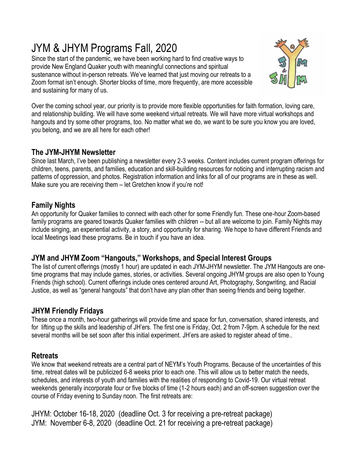# JYM & JHYM Programs Fall, 2020

Since the start of the pandemic, we have been working hard to find creative ways to provide New England Quaker youth with meaningful connections and spiritual sustenance without in-person retreats. We've learned that just moving our retreats to a Zoom format isn't enough. Shorter blocks of time, more frequently, are more accessible and sustaining for many of us.



Over the coming school year, our priority is to provide more flexible opportunities for faith formation, loving care, and relationship building. We will have some weekend virtual retreats. We will have more virtual workshops and hangouts and try some other programs, too. No matter what we do, we want to be sure you know you are loved, you belong, and we are all here for each other!

## **The JYM-JHYM Newsletter**

Since last March, I've been publishing a newsletter every 2-3 weeks. Content includes current program offerings for children, teens, parents, and families, education and skill-building resources for noticing and interrupting racism and patterns of oppression, and photos. Registration information and links for all of our programs are in these as well. Make sure you are receiving them – let Gretchen know if you're not!

## **Family Nights**

An opportunity for Quaker families to connect with each other for some Friendly fun. These one-hour Zoom-based family programs are geared towards Quaker families with children -- but all are welcome to join. Family Nights may include singing, an experiential activity, a story, and opportunity for sharing. We hope to have different Friends and local Meetings lead these programs. Be in touch if you have an idea.

### **JYM and JHYM Zoom "Hangouts," Workshops, and Special Interest Groups**

The list of current offerings (mostly 1 hour) are updated in each JYM-JHYM newsletter. The JYM Hangouts are onetime programs that may include games, stories, or activities. Several ongoing JHYM groups are also open to Young Friends (high school). Current offerings include ones centered around Art, Photography, Songwriting, and Racial Justice, as well as "general hangouts" that don't have any plan other than seeing friends and being together.

# **JHYM Friendly Fridays**

These once a month, two-hour gatherings will provide time and space for fun, conversation, shared interests, and for lifting up the skills and leadership of JH'ers. The first one is Friday, Oct. 2 from 7-9pm. A schedule for the next several months will be set soon after this initial experiment. JH'ers are asked to register ahead of time..

# **Retreats**

We know that weekend retreats are a central part of NEYM's Youth Programs. Because of the uncertainties of this time, retreat dates will be publicized 6-8 weeks prior to each one. This will allow us to better match the needs, schedules, and interests of youth and families with the realities of responding to Covid-19. Our virtual retreat weekends generally incorporate four or five blocks of time (1-2 hours each) and an off-screen suggestion over the course of Friday evening to Sunday noon. The first retreats are:

JHYM: October 16-18, 2020 (deadline Oct. 3 for receiving a pre-retreat package) JYM: November 6-8, 2020 (deadline Oct. 21 for receiving a pre-retreat package)